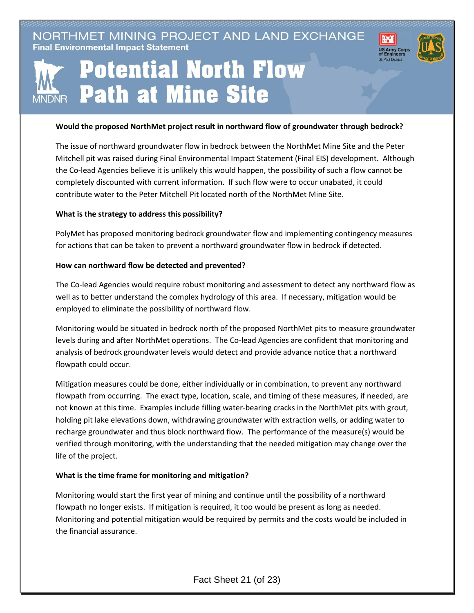NORTHMET MINING PROJECT AND LAND EXCHANGE **Final Environmental Impact Statement** 



# **Potential North Flow Path at Mine Site MNDNR**

#### **Would the proposed NorthMet project result in northward flow of groundwater through bedrock?**

The issue of northward groundwater flow in bedrock between the NorthMet Mine Site and the Peter Mitchell pit was raised during Final Environmental Impact Statement (Final EIS) development. Although the Co-lead Agencies believe it is unlikely this would happen, the possibility of such a flow cannot be completely discounted with current information. If such flow were to occur unabated, it could contribute water to the Peter Mitchell Pit located north of the NorthMet Mine Site.

#### **What is the strategy to address this possibility?**

PolyMet has proposed monitoring bedrock groundwater flow and implementing contingency measures for actions that can be taken to prevent a northward groundwater flow in bedrock if detected.

### **How can northward flow be detected and prevented?**

The Co-lead Agencies would require robust monitoring and assessment to detect any northward flow as well as to better understand the complex hydrology of this area. If necessary, mitigation would be employed to eliminate the possibility of northward flow.

Monitoring would be situated in bedrock north of the proposed NorthMet pits to measure groundwater levels during and after NorthMet operations. The Co-lead Agencies are confident that monitoring and analysis of bedrock groundwater levels would detect and provide advance notice that a northward flowpath could occur.

Mitigation measures could be done, either individually or in combination, to prevent any northward flowpath from occurring. The exact type, location, scale, and timing of these measures, if needed, are not known at this time. Examples include filling water-bearing cracks in the NorthMet pits with grout, holding pit lake elevations down, withdrawing groundwater with extraction wells, or adding water to recharge groundwater and thus block northward flow. The performance of the measure(s) would be verified through monitoring, with the understanding that the needed mitigation may change over the life of the project.

# **What is the time frame for monitoring and mitigation?**

Monitoring would start the first year of mining and continue until the possibility of a northward flowpath no longer exists. If mitigation is required, it too would be present as long as needed. Monitoring and potential mitigation would be required by permits and the costs would be included in the financial assurance.